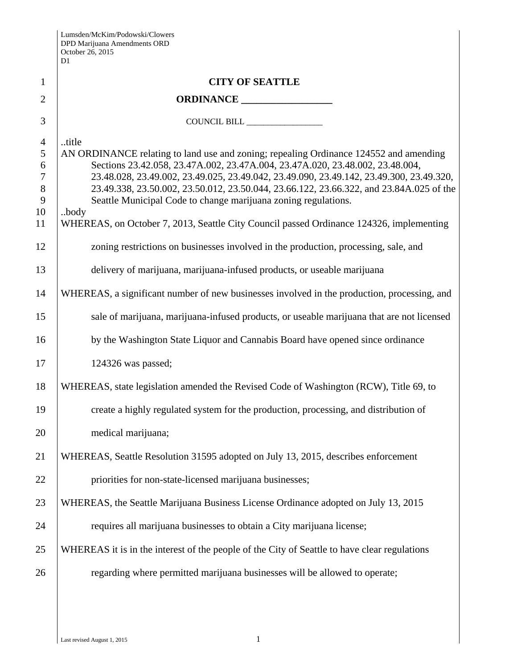|                | Lumsden/McKim/Podowski/Clowers<br>DPD Marijuana Amendments ORD<br>October 26, 2015<br>D1                                                                  |
|----------------|-----------------------------------------------------------------------------------------------------------------------------------------------------------|
| $\mathbf{1}$   | <b>CITY OF SEATTLE</b>                                                                                                                                    |
| $\overline{2}$ | ORDINANCE                                                                                                                                                 |
| 3              | COUNCIL BILL                                                                                                                                              |
| $\overline{4}$ | title                                                                                                                                                     |
| 5              | AN ORDINANCE relating to land use and zoning; repealing Ordinance 124552 and amending                                                                     |
| 6              | Sections 23.42.058, 23.47A.002, 23.47A.004, 23.47A.020, 23.48.002, 23.48.004,                                                                             |
| $\tau$         | 23.48.028, 23.49.002, 23.49.025, 23.49.042, 23.49.090, 23.49.142, 23.49.300, 23.49.320,                                                                   |
| $8\phantom{.}$ | 23.49.338, 23.50.002, 23.50.012, 23.50.044, 23.66.122, 23.66.322, and 23.84A.025 of the<br>Seattle Municipal Code to change marijuana zoning regulations. |
| 9<br>10        | body                                                                                                                                                      |
| 11             | WHEREAS, on October 7, 2013, Seattle City Council passed Ordinance 124326, implementing                                                                   |
| 12             | zoning restrictions on businesses involved in the production, processing, sale, and                                                                       |
| 13             | delivery of marijuana, marijuana-infused products, or useable marijuana                                                                                   |
| 14             | WHEREAS, a significant number of new businesses involved in the production, processing, and                                                               |
| 15             | sale of marijuana, marijuana-infused products, or useable marijuana that are not licensed                                                                 |
| 16             | by the Washington State Liquor and Cannabis Board have opened since ordinance                                                                             |
| 17             | 124326 was passed;                                                                                                                                        |
| 18             | WHEREAS, state legislation amended the Revised Code of Washington (RCW), Title 69, to                                                                     |
| 19             | create a highly regulated system for the production, processing, and distribution of                                                                      |
| 20             | medical marijuana;                                                                                                                                        |
| 21             | WHEREAS, Seattle Resolution 31595 adopted on July 13, 2015, describes enforcement                                                                         |
| 22             | priorities for non-state-licensed marijuana businesses;                                                                                                   |
| 23             | WHEREAS, the Seattle Marijuana Business License Ordinance adopted on July 13, 2015                                                                        |
| 24             | requires all marijuana businesses to obtain a City marijuana license;                                                                                     |
| 25             | WHEREAS it is in the interest of the people of the City of Seattle to have clear regulations                                                              |
| 26             | regarding where permitted marijuana businesses will be allowed to operate;                                                                                |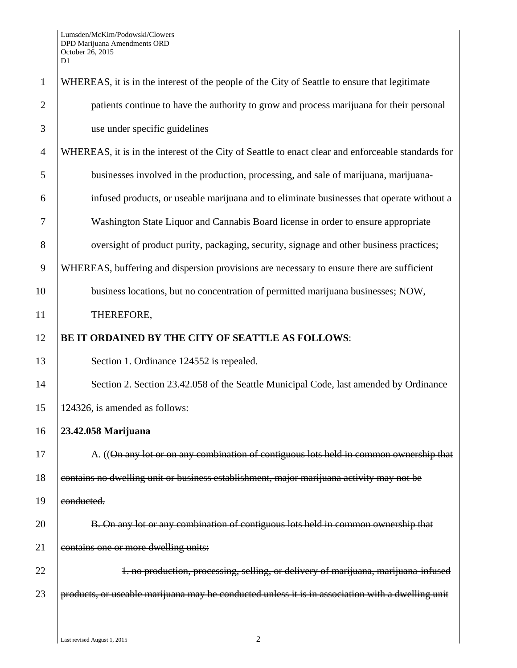| $\mathbf{1}$   | WHEREAS, it is in the interest of the people of the City of Seattle to ensure that legitimate      |
|----------------|----------------------------------------------------------------------------------------------------|
| $\overline{2}$ | patients continue to have the authority to grow and process marijuana for their personal           |
| 3              | use under specific guidelines                                                                      |
| $\overline{4}$ | WHEREAS, it is in the interest of the City of Seattle to enact clear and enforceable standards for |
| 5              | businesses involved in the production, processing, and sale of marijuana, marijuana-               |
| 6              | infused products, or useable marijuana and to eliminate businesses that operate without a          |
| 7              | Washington State Liquor and Cannabis Board license in order to ensure appropriate                  |
| 8              | oversight of product purity, packaging, security, signage and other business practices;            |
| 9              | WHEREAS, buffering and dispersion provisions are necessary to ensure there are sufficient          |
| 10             | business locations, but no concentration of permitted marijuana businesses; NOW,                   |
| 11             | THEREFORE,                                                                                         |
| 12             | BE IT ORDAINED BY THE CITY OF SEATTLE AS FOLLOWS:                                                  |
| 13             | Section 1. Ordinance 124552 is repealed.                                                           |
| 14             | Section 2. Section 23.42.058 of the Seattle Municipal Code, last amended by Ordinance              |
| 15             | 124326, is amended as follows:                                                                     |
| 16             | 23.42.058 Marijuana                                                                                |
| 17             | A. ((On any lot or on any combination of contiguous lots held in common ownership that             |
| 18             | contains no dwelling unit or business establishment, major marijuana activity may not be           |
| 19             | conducted.                                                                                         |
| 20             | B. On any lot or any combination of contiguous lots held in common ownership that                  |
| 21             | contains one or more dwelling units:                                                               |
| 22             | 1. no production, processing, selling, or delivery of marijuana, marijuana infused                 |
| 23             | products, or useable marijuana may be conducted unless it is in association with a dwelling unit   |
|                |                                                                                                    |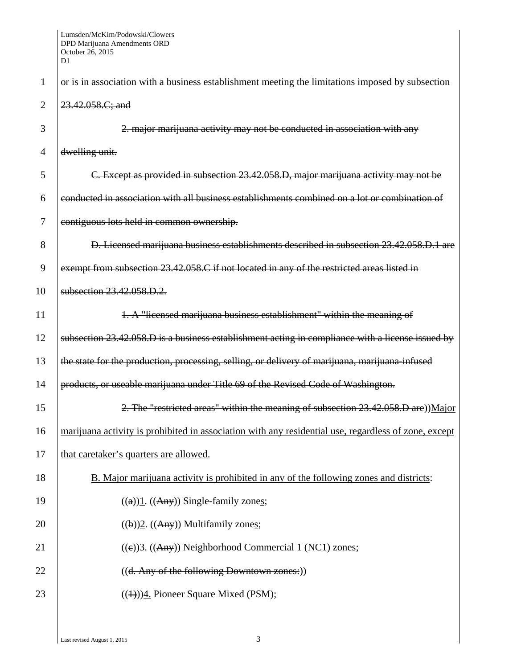| 1              | or is in association with a business establishment meeting the limitations imposed by subsection     |
|----------------|------------------------------------------------------------------------------------------------------|
| $\overline{2}$ | 23.42.058.C; and                                                                                     |
| 3              | 2. major marijuana activity may not be conducted in association with any                             |
| 4              | dwelling unit.                                                                                       |
| 5              | C. Except as provided in subsection 23.42.058.D, major marijuana activity may not be                 |
| 6              | conducted in association with all business establishments combined on a lot or combination of        |
| 7              | contiguous lots held in common ownership.                                                            |
| 8              | D. Licensed marijuana business establishments described in subsection 23.42.058.D.1 are              |
| 9              | exempt from subsection 23.42.058.C if not located in any of the restricted areas listed in           |
| 10             | subsection 23.42.058.D.2.                                                                            |
| 11             | 1. A "licensed marijuana business establishment" within the meaning of                               |
| 12             | subsection 23.42.058.D is a business establishment acting in compliance with a license issued by     |
| 13             | the state for the production, processing, selling, or delivery of marijuana, marijuana-infused       |
| 14             | products, or useable marijuana under Title 69 of the Revised Code of Washington.                     |
| 15             | 2. The "restricted areas" within the meaning of subsection 23.42.058.D are))Major                    |
| 16             | marijuana activity is prohibited in association with any residential use, regardless of zone, except |
| 17             | that caretaker's quarters are allowed.                                                               |
| 18             | B. Major marijuana activity is prohibited in any of the following zones and districts:               |
| 19             | $((a))1. ((Any))$ Single-family zones;                                                               |
| 20             | $((b))2. ((Any))$ Multifamily zones;                                                                 |
| 21             | $((e))$ 3. $((Any))$ Neighborhood Commercial 1 (NC1) zones;                                          |
| 22             | ((d. Any of the following Downtown zones:))                                                          |
| 23             | $((1))$ <sup>4</sup> . Pioneer Square Mixed (PSM);                                                   |
|                |                                                                                                      |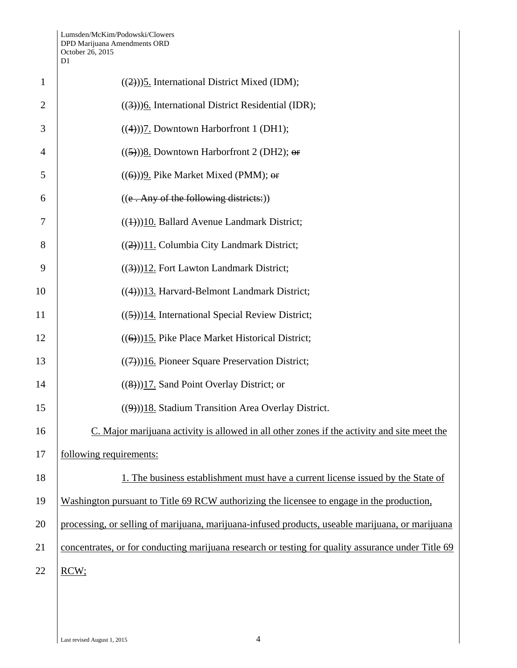| $\mathbf{1}$   | $((2))$ ) <sup>5</sup> . International District Mixed (IDM);                                       |
|----------------|----------------------------------------------------------------------------------------------------|
| $\overline{2}$ | $((3))$ <sup>6</sup> . International District Residential (IDR);                                   |
| 3              | $((4))$ ]. Downtown Harborfront 1 (DH1);                                                           |
| $\overline{4}$ | $((5))$ 8. Downtown Harborfront 2 (DH2); or                                                        |
| 5              | $((6))$ ) $9$ . Pike Market Mixed (PMM); or                                                        |
| 6              | $((e. Any of the following districts:))$                                                           |
| 7              | $((4))$ 10. Ballard Avenue Landmark District;                                                      |
| 8              | $((2))$ <sup>11</sup> . Columbia City Landmark District;                                           |
| 9              | $((3))$ 12. Fort Lawton Landmark District;                                                         |
| 10             | $((4))$ 13. Harvard-Belmont Landmark District;                                                     |
| 11             | $((5))$ 14. International Special Review District;                                                 |
| 12             | $((6))$ 15. Pike Place Market Historical District;                                                 |
| 13             | $((7))$ 16. Pioneer Square Preservation District;                                                  |
| 14             | $((8))$ 17. Sand Point Overlay District; or                                                        |
| 15             | $((9))18$ . Stadium Transition Area Overlay District.                                              |
| 16             | C. Major marijuana activity is allowed in all other zones if the activity and site meet the        |
| 17             | following requirements:                                                                            |
| 18             | 1. The business establishment must have a current license issued by the State of                   |
| 19             | Washington pursuant to Title 69 RCW authorizing the licensee to engage in the production,          |
| 20             | processing, or selling of marijuana, marijuana-infused products, useable marijuana, or marijuana   |
| 21             | concentrates, or for conducting marijuana research or testing for quality assurance under Title 69 |
| 22             | RCW;                                                                                               |
|                |                                                                                                    |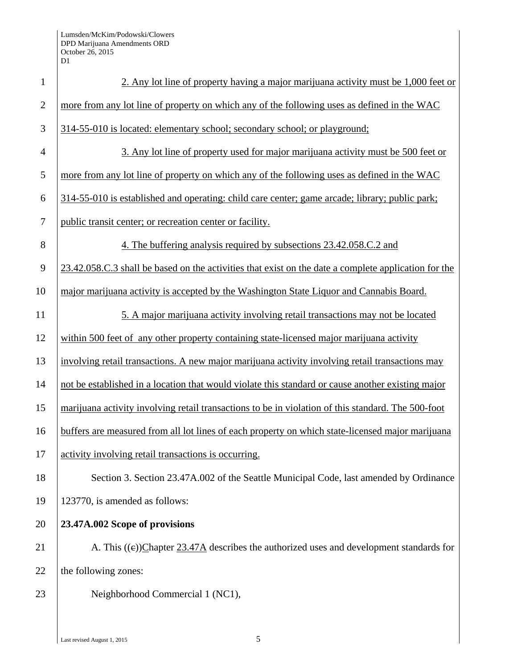| $\mathbf{1}$   | 2. Any lot line of property having a major marijuana activity must be 1,000 feet or                  |
|----------------|------------------------------------------------------------------------------------------------------|
| $\overline{2}$ | more from any lot line of property on which any of the following uses as defined in the WAC          |
| 3              | 314-55-010 is located: elementary school; secondary school; or playground;                           |
| $\overline{4}$ | 3. Any lot line of property used for major marijuana activity must be 500 feet or                    |
| 5              | more from any lot line of property on which any of the following uses as defined in the WAC          |
| 6              | 314-55-010 is established and operating: child care center; game arcade; library; public park;       |
| $\tau$         | public transit center; or recreation center or facility.                                             |
| 8              | 4. The buffering analysis required by subsections 23.42.058.C.2 and                                  |
| 9              | 23.42.058.C.3 shall be based on the activities that exist on the date a complete application for the |
| 10             | major marijuana activity is accepted by the Washington State Liquor and Cannabis Board.              |
| 11             | 5. A major marijuana activity involving retail transactions may not be located                       |
| 12             | within 500 feet of any other property containing state-licensed major marijuana activity             |
| 13             | involving retail transactions. A new major marijuana activity involving retail transactions may      |
| 14             | not be established in a location that would violate this standard or cause another existing major    |
| 15             | marijuana activity involving retail transactions to be in violation of this standard. The 500-foot   |
| 16             | buffers are measured from all lot lines of each property on which state-licensed major marijuana     |
| 17             | activity involving retail transactions is occurring.                                                 |
| 18             | Section 3. Section 23.47A.002 of the Seattle Municipal Code, last amended by Ordinance               |
| 19             | 123770, is amended as follows:                                                                       |
| 20             | 23.47A.002 Scope of provisions                                                                       |
| 21             | A. This $((e))$ Chapter 23.47A describes the authorized uses and development standards for           |
| 22             | the following zones:                                                                                 |
| 23             | Neighborhood Commercial 1 (NC1),                                                                     |
|                |                                                                                                      |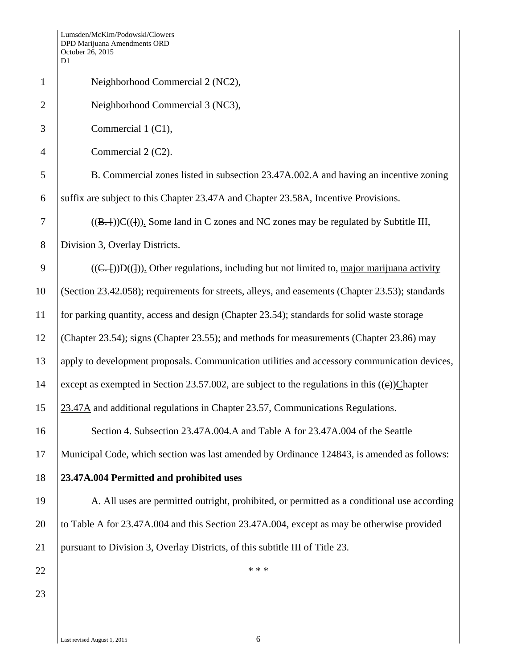|                | D1                                                                                              |
|----------------|-------------------------------------------------------------------------------------------------|
| $\mathbf{1}$   | Neighborhood Commercial 2 (NC2),                                                                |
| $\overline{2}$ | Neighborhood Commercial 3 (NC3),                                                                |
| 3              | Commercial 1 (C1),                                                                              |
| $\overline{4}$ | Commercial 2 (C2).                                                                              |
| 5              | B. Commercial zones listed in subsection 23.47A.002.A and having an incentive zoning            |
| 6              | suffix are subject to this Chapter 23.47A and Chapter 23.58A, Incentive Provisions.             |
| $\overline{7}$ | $((B,-))C((1))$ . Some land in C zones and NC zones may be regulated by Subtitle III,           |
| 8              | Division 3, Overlay Districts.                                                                  |
| 9              | $((C,-))D((1))$ . Other regulations, including but not limited to, major marijuana activity     |
| 10             | (Section 23.42.058); requirements for streets, alleys, and easements (Chapter 23.53); standards |
| 11             | for parking quantity, access and design (Chapter 23.54); standards for solid waste storage      |
| 12             | (Chapter 23.54); signs (Chapter 23.55); and methods for measurements (Chapter 23.86) may        |
| 13             | apply to development proposals. Communication utilities and accessory communication devices,    |
| 14             | except as exempted in Section 23.57.002, are subject to the regulations in this $((e))$ Chapter |
| 15             | 23.47A and additional regulations in Chapter 23.57, Communications Regulations.                 |
| 16             | Section 4. Subsection 23.47A.004.A and Table A for 23.47A.004 of the Seattle                    |
| 17             | Municipal Code, which section was last amended by Ordinance 124843, is amended as follows:      |
| 18             | 23.47A.004 Permitted and prohibited uses                                                        |
| 19             | A. All uses are permitted outright, prohibited, or permitted as a conditional use according     |
| 20             | to Table A for 23.47A.004 and this Section 23.47A.004, except as may be otherwise provided      |
| 21             | pursuant to Division 3, Overlay Districts, of this subtitle III of Title 23.                    |
| 22             | * * *                                                                                           |
| 23             |                                                                                                 |
|                |                                                                                                 |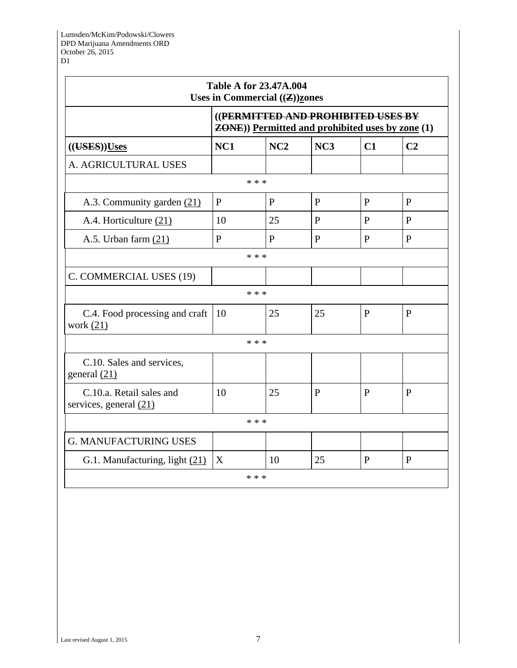|                                                                                                |              | <b>Table A for 23.47A.004</b><br>Uses in Commercial $((\mathbf{Z}))$ zones |              |              |                |
|------------------------------------------------------------------------------------------------|--------------|----------------------------------------------------------------------------|--------------|--------------|----------------|
| ((PERMITTED AND PROHIBITED USES BY<br><b>ZONE</b> )) Permitted and prohibited uses by zone (1) |              |                                                                            |              |              |                |
| (( <b>UES</b> )) <b>Uses</b>                                                                   | NC1          | NC2                                                                        | NC3          | C1           | C <sub>2</sub> |
| A. AGRICULTURAL USES                                                                           |              |                                                                            |              |              |                |
|                                                                                                |              | * * *                                                                      |              |              |                |
| A.3. Community garden (21)                                                                     | P            | P                                                                          | P            | $\mathbf{P}$ | $\mathbf{P}$   |
| A.4. Horticulture (21)                                                                         | 10           | 25                                                                         | $\mathbf{P}$ | $\mathbf{P}$ | $\mathbf{P}$   |
| A.5. Urban farm $(21)$                                                                         | $\mathbf{P}$ | $\mathbf{P}$                                                               | $\mathbf{P}$ | $\mathbf{P}$ | $\mathbf{P}$   |
|                                                                                                |              | * * *                                                                      |              |              |                |
| C. COMMERCIAL USES (19)                                                                        |              |                                                                            |              |              |                |
|                                                                                                |              | * * *                                                                      |              |              |                |
| C.4. Food processing and craft<br>work $(21)$                                                  | 10           | 25                                                                         | 25           | $\mathbf{P}$ | $\mathbf{P}$   |
|                                                                                                |              | * * *                                                                      |              |              |                |
| C.10. Sales and services,<br>general $(21)$                                                    |              |                                                                            |              |              |                |
| C.10.a. Retail sales and<br>services, general (21)                                             | 10           | 25                                                                         | $\mathbf{P}$ | P            | $\mathbf{P}$   |
|                                                                                                |              | * * *                                                                      |              |              |                |
| <b>G. MANUFACTURING USES</b>                                                                   |              |                                                                            |              |              |                |
| G.1. Manufacturing, light (21)                                                                 | X            | 10                                                                         | 25           | $\mathbf{P}$ | P              |
|                                                                                                |              | * * *                                                                      |              |              |                |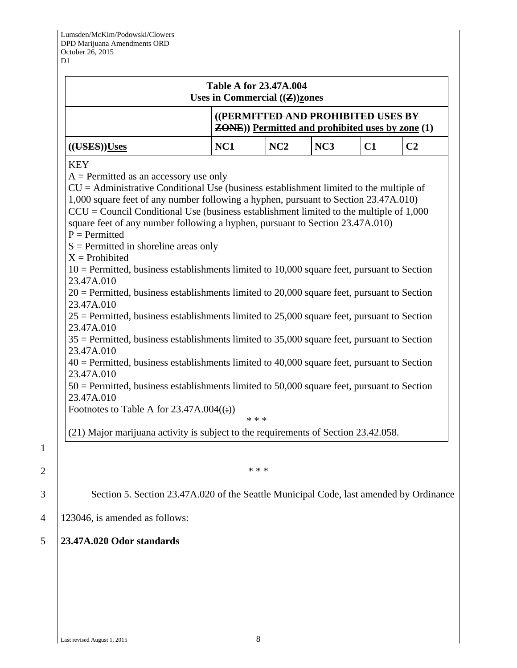|                                                                                                                                                                                                                                                                                                                                                                                                                                                                                                                                                                                                                                                                                                                                                                                                                                                                                                                                                                                                                                                                                                                                                                                                                                                                                                                                 | Uses in Commercial $(\mathbf{Z})$ zones | <b>Table A for 23.47A.004</b>                                                                  |                 |    |                |
|---------------------------------------------------------------------------------------------------------------------------------------------------------------------------------------------------------------------------------------------------------------------------------------------------------------------------------------------------------------------------------------------------------------------------------------------------------------------------------------------------------------------------------------------------------------------------------------------------------------------------------------------------------------------------------------------------------------------------------------------------------------------------------------------------------------------------------------------------------------------------------------------------------------------------------------------------------------------------------------------------------------------------------------------------------------------------------------------------------------------------------------------------------------------------------------------------------------------------------------------------------------------------------------------------------------------------------|-----------------------------------------|------------------------------------------------------------------------------------------------|-----------------|----|----------------|
|                                                                                                                                                                                                                                                                                                                                                                                                                                                                                                                                                                                                                                                                                                                                                                                                                                                                                                                                                                                                                                                                                                                                                                                                                                                                                                                                 |                                         | ((PERMITTED AND PROHIBITED USES BY<br><b>ZONE</b> )) Permitted and prohibited uses by zone (1) |                 |    |                |
| (( <b>UES</b> )) <b>Uses</b>                                                                                                                                                                                                                                                                                                                                                                                                                                                                                                                                                                                                                                                                                                                                                                                                                                                                                                                                                                                                                                                                                                                                                                                                                                                                                                    | NC1                                     | NC2                                                                                            | NC <sub>3</sub> | C1 | C <sub>2</sub> |
| $A = Permitted$ as an accessory use only<br>$CU =$ Administrative Conditional Use (business establishment limited to the multiple of<br>1,000 square feet of any number following a hyphen, pursuant to Section 23.47A.010)<br>$CCU = Council Conditional Use (business establishment limited to the multiple of 1,000)$<br>square feet of any number following a hyphen, pursuant to Section 23.47A.010)<br>$P = Permitted$<br>$S =$ Permitted in shoreline areas only<br>$X =$ Prohibited<br>$10$ = Permitted, business establishments limited to 10,000 square feet, pursuant to Section<br>23.47A.010<br>$20$ = Permitted, business establishments limited to 20,000 square feet, pursuant to Section<br>23.47A.010<br>$25$ = Permitted, business establishments limited to 25,000 square feet, pursuant to Section<br>23.47A.010<br>$35$ = Permitted, business establishments limited to 35,000 square feet, pursuant to Section<br>23.47A.010<br>$40$ = Permitted, business establishments limited to 40,000 square feet, pursuant to Section<br>23.47A.010<br>$50$ = Permitted, business establishments limited to 50,000 square feet, pursuant to Section<br>23.47A.010<br>Footnotes to Table $\underline{A}$ for 23.47A.004((:))<br>(21) Major marijuana activity is subject to the requirements of Section 23.42.058. |                                         | * * *<br>* * *                                                                                 |                 |    |                |
|                                                                                                                                                                                                                                                                                                                                                                                                                                                                                                                                                                                                                                                                                                                                                                                                                                                                                                                                                                                                                                                                                                                                                                                                                                                                                                                                 |                                         |                                                                                                |                 |    |                |
| Section 5. Section 23.47A.020 of the Seattle Municipal Code, last amended by Ordinance                                                                                                                                                                                                                                                                                                                                                                                                                                                                                                                                                                                                                                                                                                                                                                                                                                                                                                                                                                                                                                                                                                                                                                                                                                          |                                         |                                                                                                |                 |    |                |
| 123046, is amended as follows:                                                                                                                                                                                                                                                                                                                                                                                                                                                                                                                                                                                                                                                                                                                                                                                                                                                                                                                                                                                                                                                                                                                                                                                                                                                                                                  |                                         |                                                                                                |                 |    |                |

1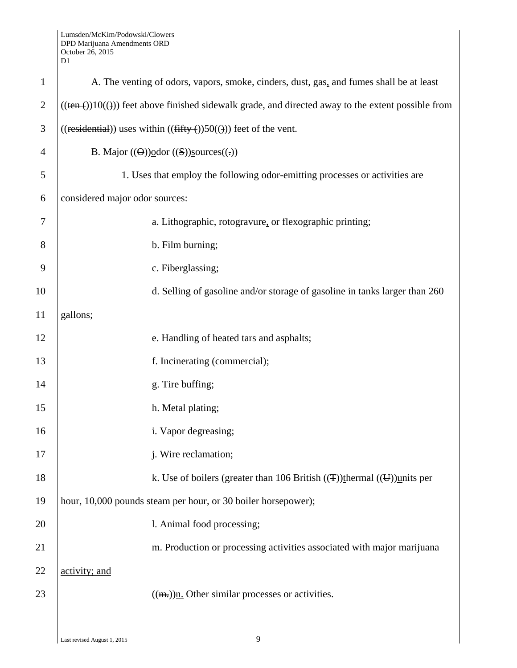Lumsden/McKim/Podowski/Clowers DPD Marijuana Amendments ORD October 26, 2015

|                | D1                                                                                                        |
|----------------|-----------------------------------------------------------------------------------------------------------|
| $\mathbf{1}$   | A. The venting of odors, vapors, smoke, cinders, dust, gas, and fumes shall be at least                   |
| $\overline{c}$ | $((\text{ten}())10(())$ feet above finished sidewalk grade, and directed away to the extent possible from |
| 3              | $((residential))$ uses within $((fifty())50())$ feet of the vent.                                         |
| 4              | B. Major $((\Theta))\text{odor } ((S))$ sources $((.)$                                                    |
| 5              | 1. Uses that employ the following odor-emitting processes or activities are                               |
| 6              | considered major odor sources:                                                                            |
| 7              | a. Lithographic, rotogravure, or flexographic printing;                                                   |
| 8              | b. Film burning;                                                                                          |
| 9              | c. Fiberglassing;                                                                                         |
| 10             | d. Selling of gasoline and/or storage of gasoline in tanks larger than 260                                |
| 11             | gallons;                                                                                                  |
| 12             | e. Handling of heated tars and asphalts;                                                                  |
| 13             | f. Incinerating (commercial);                                                                             |
| 14             | g. Tire buffing;                                                                                          |
| 15             | h. Metal plating;                                                                                         |
| 16             | i. Vapor degreasing;                                                                                      |
| 17             | j. Wire reclamation;                                                                                      |
| 18             | k. Use of boilers (greater than 106 British $(\text{F})$ ) thermal $(\text{F})$ ) units per               |
| 19             | hour, 10,000 pounds steam per hour, or 30 boiler horsepower);                                             |
| 20             | l. Animal food processing;                                                                                |
| 21             | m. Production or processing activities associated with major marijuana                                    |
| 22             | activity; and                                                                                             |
| 23             | $((m))$ . Other similar processes or activities.                                                          |
|                |                                                                                                           |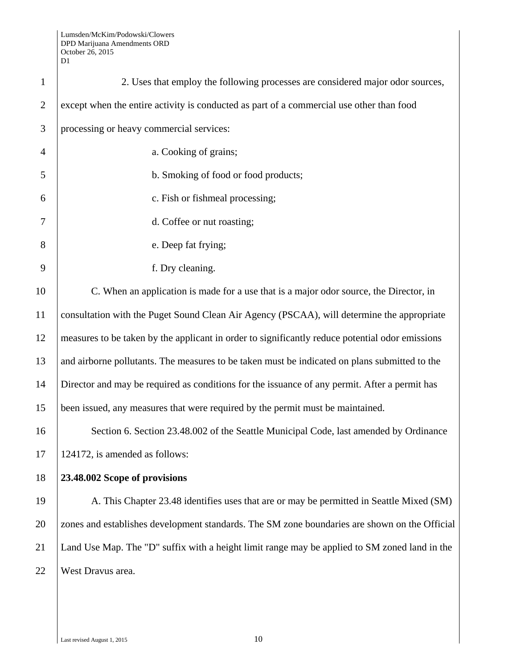| $\mathbf{1}$   | 2. Uses that employ the following processes are considered major odor sources,                  |
|----------------|-------------------------------------------------------------------------------------------------|
| $\overline{2}$ | except when the entire activity is conducted as part of a commercial use other than food        |
| 3              | processing or heavy commercial services:                                                        |
| $\overline{4}$ | a. Cooking of grains;                                                                           |
| 5              | b. Smoking of food or food products;                                                            |
| 6              | c. Fish or fishmeal processing;                                                                 |
| 7              | d. Coffee or nut roasting;                                                                      |
| 8              | e. Deep fat frying;                                                                             |
| 9              | f. Dry cleaning.                                                                                |
| 10             | C. When an application is made for a use that is a major odor source, the Director, in          |
| 11             | consultation with the Puget Sound Clean Air Agency (PSCAA), will determine the appropriate      |
| 12             | measures to be taken by the applicant in order to significantly reduce potential odor emissions |
| 13             | and airborne pollutants. The measures to be taken must be indicated on plans submitted to the   |
| 14             | Director and may be required as conditions for the issuance of any permit. After a permit has   |
| 15             | been issued, any measures that were required by the permit must be maintained.                  |
| 16             | Section 6. Section 23.48.002 of the Seattle Municipal Code, last amended by Ordinance           |
| 17             | 124172, is amended as follows:                                                                  |
| 18             | 23.48.002 Scope of provisions                                                                   |
| 19             | A. This Chapter 23.48 identifies uses that are or may be permitted in Seattle Mixed (SM)        |
| 20             | zones and establishes development standards. The SM zone boundaries are shown on the Official   |
| 21             | Land Use Map. The "D" suffix with a height limit range may be applied to SM zoned land in the   |
| 22             | West Dravus area.                                                                               |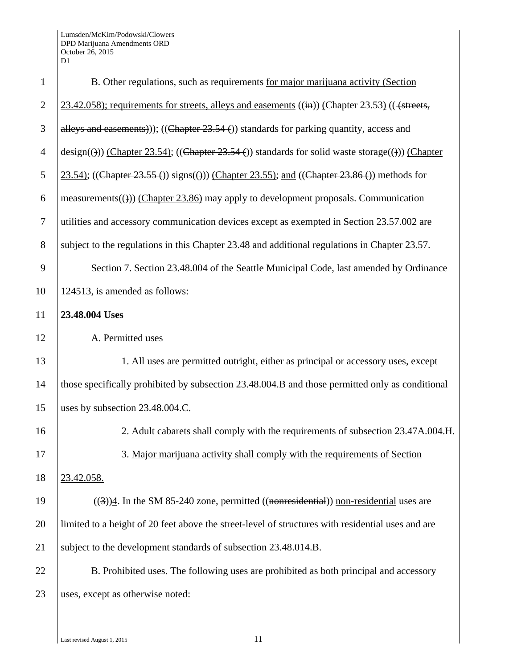Lumsden/McKim/Podowski/Clowers DPD Marijuana Amendments ORD October 26, 2015 D1

| $\mathbf{1}$   | B. Other regulations, such as requirements for major marijuana activity (Section                           |
|----------------|------------------------------------------------------------------------------------------------------------|
| $\overline{2}$ | 23.42.058); requirements for streets, alleys and easements ((in)) (Chapter 23.53) (( $\leftarrow$ streets, |
| 3              | alleys and easements)); ((Chapter $23.54$ ) standards for parking quantity, access and                     |
| $\overline{4}$ | $\text{design}(())$ (Chapter 23.54); ((Chapter 23.54 ()) standards for solid waste storage(())) (Chapter   |
| 5              | 23.54); ((Chapter 23.55 ()) signs(())) (Chapter 23.55); and ((Chapter 23.86 ()) methods for                |
| 6              | measurements(())) (Chapter 23.86) may apply to development proposals. Communication                        |
| $\tau$         | utilities and accessory communication devices except as exempted in Section 23.57.002 are                  |
| 8              | subject to the regulations in this Chapter 23.48 and additional regulations in Chapter 23.57.              |
| 9              | Section 7. Section 23.48.004 of the Seattle Municipal Code, last amended by Ordinance                      |
| 10             | 124513, is amended as follows:                                                                             |
| 11             | 23.48.004 Uses                                                                                             |
| 12             | A. Permitted uses                                                                                          |
| 13             | 1. All uses are permitted outright, either as principal or accessory uses, except                          |
| 14             | those specifically prohibited by subsection 23.48.004.B and those permitted only as conditional            |
| 15             | uses by subsection 23.48.004.C.                                                                            |
| 16             | 2. Adult cabarets shall comply with the requirements of subsection 23.47A.004.H.                           |
| 17             | 3. Major marijuana activity shall comply with the requirements of Section                                  |
| 18             | 23.42.058.                                                                                                 |
| 19             | $((3))$ 4. In the SM 85-240 zone, permitted $((nonresidental))$ non-residential uses are                   |
| 20             | limited to a height of 20 feet above the street-level of structures with residential uses and are          |
| 21             | subject to the development standards of subsection 23.48.014.B.                                            |
| 22             | B. Prohibited uses. The following uses are prohibited as both principal and accessory                      |
| 23             | uses, except as otherwise noted:                                                                           |
|                |                                                                                                            |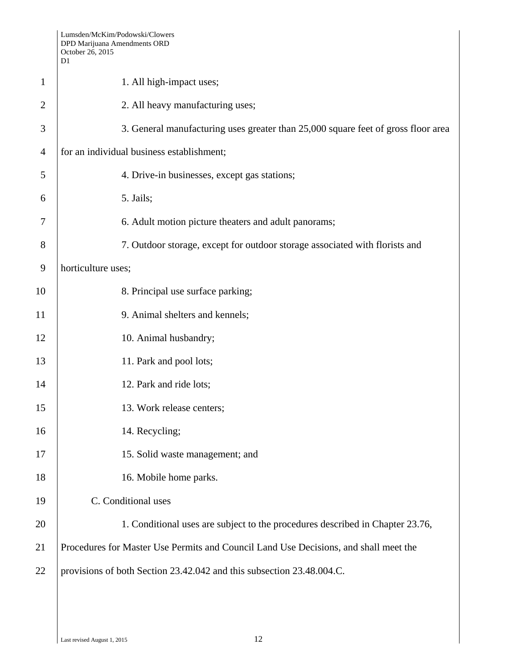|                | Lumsden/McKim/Podowski/Clowers<br>DPD Marijuana Amendments ORD<br>October 26, 2015<br>D1 |
|----------------|------------------------------------------------------------------------------------------|
| $\mathbf{1}$   | 1. All high-impact uses;                                                                 |
| $\overline{2}$ | 2. All heavy manufacturing uses;                                                         |
| 3              | 3. General manufacturing uses greater than 25,000 square feet of gross floor area        |
| $\overline{4}$ | for an individual business establishment;                                                |
| 5              | 4. Drive-in businesses, except gas stations;                                             |
| 6              | 5. Jails;                                                                                |
| 7              | 6. Adult motion picture theaters and adult panorams;                                     |
| 8              | 7. Outdoor storage, except for outdoor storage associated with florists and              |
| 9              | horticulture uses;                                                                       |
| 10             | 8. Principal use surface parking;                                                        |
| 11             | 9. Animal shelters and kennels;                                                          |
| 12             | 10. Animal husbandry;                                                                    |
| 13             | 11. Park and pool lots;                                                                  |
| 14             | 12. Park and ride lots;                                                                  |
| 15             | 13. Work release centers;                                                                |
| 16             | 14. Recycling;                                                                           |
| 17             | 15. Solid waste management; and                                                          |
| 18             | 16. Mobile home parks.                                                                   |
| 19             | C. Conditional uses                                                                      |
| 20             | 1. Conditional uses are subject to the procedures described in Chapter 23.76,            |
| 21             | Procedures for Master Use Permits and Council Land Use Decisions, and shall meet the     |
| 22             | provisions of both Section 23.42.042 and this subsection 23.48.004.C.                    |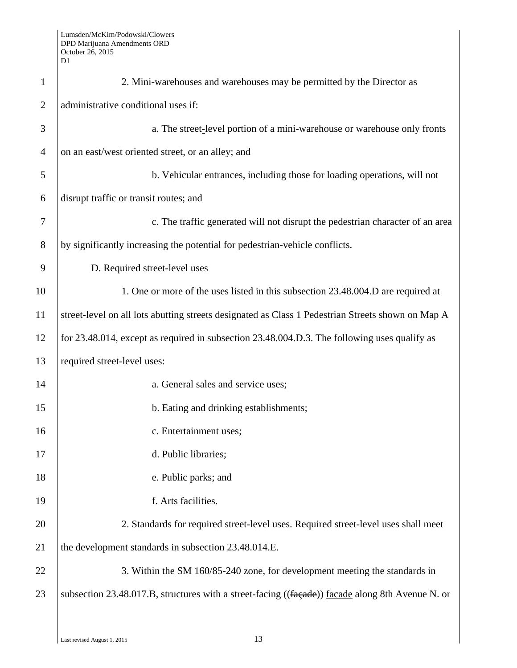| $\mathbf{1}$   | 2. Mini-warehouses and warehouses may be permitted by the Director as                             |  |  |  |  |
|----------------|---------------------------------------------------------------------------------------------------|--|--|--|--|
| $\overline{2}$ | administrative conditional uses if:                                                               |  |  |  |  |
| 3              | a. The street-level portion of a mini-warehouse or warehouse only fronts                          |  |  |  |  |
| $\overline{4}$ | on an east/west oriented street, or an alley; and                                                 |  |  |  |  |
| 5              | b. Vehicular entrances, including those for loading operations, will not                          |  |  |  |  |
| 6              | disrupt traffic or transit routes; and                                                            |  |  |  |  |
| 7              | c. The traffic generated will not disrupt the pedestrian character of an area                     |  |  |  |  |
| 8              | by significantly increasing the potential for pedestrian-vehicle conflicts.                       |  |  |  |  |
| 9              | D. Required street-level uses                                                                     |  |  |  |  |
| 10             | 1. One or more of the uses listed in this subsection 23.48.004.D are required at                  |  |  |  |  |
| 11             | street-level on all lots abutting streets designated as Class 1 Pedestrian Streets shown on Map A |  |  |  |  |
| 12             | for 23.48.014, except as required in subsection 23.48.004.D.3. The following uses qualify as      |  |  |  |  |
| 13             | required street-level uses:                                                                       |  |  |  |  |
| 14             | a. General sales and service uses;                                                                |  |  |  |  |
| 15             | b. Eating and drinking establishments;                                                            |  |  |  |  |
| 16             | c. Entertainment uses;                                                                            |  |  |  |  |
| 17             | d. Public libraries;                                                                              |  |  |  |  |
| 18             | e. Public parks; and                                                                              |  |  |  |  |
| 19             | f. Arts facilities.                                                                               |  |  |  |  |
| 20             | 2. Standards for required street-level uses. Required street-level uses shall meet                |  |  |  |  |
| 21             | the development standards in subsection 23.48.014.E.                                              |  |  |  |  |
| 22             | 3. Within the SM 160/85-240 zone, for development meeting the standards in                        |  |  |  |  |
| 23             | subsection 23.48.017.B, structures with a street-facing ((facade)) facade along 8th Avenue N. or  |  |  |  |  |
|                |                                                                                                   |  |  |  |  |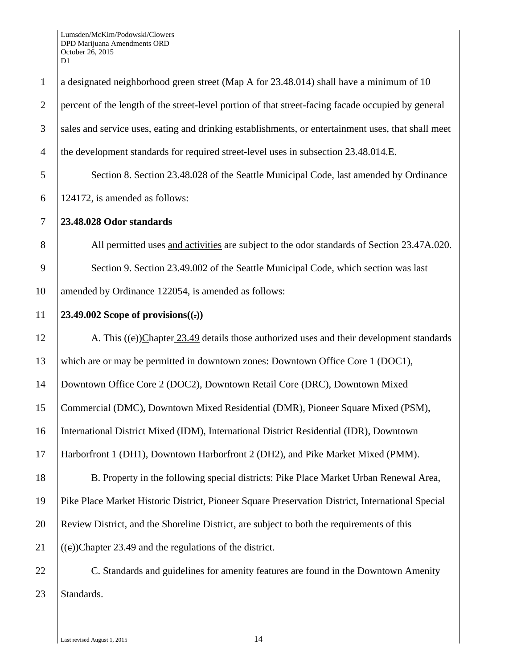| $\mathbf{1}$   | a designated neighborhood green street (Map A for 23.48.014) shall have a minimum of 10            |
|----------------|----------------------------------------------------------------------------------------------------|
| $\mathfrak{2}$ | percent of the length of the street-level portion of that street-facing facade occupied by general |
| 3              | sales and service uses, eating and drinking establishments, or entertainment uses, that shall meet |
| $\overline{4}$ | the development standards for required street-level uses in subsection 23.48.014.E.                |
| 5              | Section 8. Section 23.48.028 of the Seattle Municipal Code, last amended by Ordinance              |
| 6              | 124172, is amended as follows:                                                                     |
| $\tau$         | 23.48.028 Odor standards                                                                           |
| 8              | All permitted uses and activities are subject to the odor standards of Section 23.47A.020.         |
| 9              | Section 9. Section 23.49.002 of the Seattle Municipal Code, which section was last                 |
| 10             | amended by Ordinance 122054, is amended as follows:                                                |
| 11             | 23.49.002 Scope of provisions $((.)$                                                               |
| 12             | A. This $((e))$ Chapter 23.49 details those authorized uses and their development standards        |
| 13             | which are or may be permitted in downtown zones: Downtown Office Core 1 (DOC1),                    |
| 14             | Downtown Office Core 2 (DOC2), Downtown Retail Core (DRC), Downtown Mixed                          |
| 15             | Commercial (DMC), Downtown Mixed Residential (DMR), Pioneer Square Mixed (PSM),                    |
| 16             | International District Mixed (IDM), International District Residential (IDR), Downtown             |
| 17             | Harborfront 1 (DH1), Downtown Harborfront 2 (DH2), and Pike Market Mixed (PMM).                    |
| 18             | B. Property in the following special districts: Pike Place Market Urban Renewal Area,              |
| 19             | Pike Place Market Historic District, Pioneer Square Preservation District, International Special   |
| 20             | Review District, and the Shoreline District, are subject to both the requirements of this          |
| 21             | $((e))$ Chapter 23.49 and the regulations of the district.                                         |
| 22             | C. Standards and guidelines for amenity features are found in the Downtown Amenity                 |
| 23             | Standards.                                                                                         |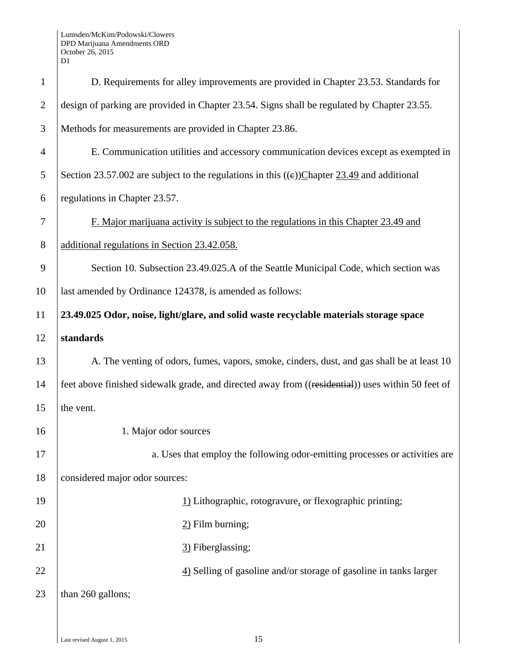| $\mathbf{1}$   | D. Requirements for alley improvements are provided in Chapter 23.53. Standards for               |
|----------------|---------------------------------------------------------------------------------------------------|
| $\overline{2}$ | design of parking are provided in Chapter 23.54. Signs shall be regulated by Chapter 23.55.       |
| 3              | Methods for measurements are provided in Chapter 23.86.                                           |
| 4              | E. Communication utilities and accessory communication devices except as exempted in              |
| 5              | Section 23.57.002 are subject to the regulations in this $((e))$ Chapter 23.49 and additional     |
| 6              | regulations in Chapter 23.57.                                                                     |
| 7              | F. Major marijuana activity is subject to the regulations in this Chapter 23.49 and               |
| 8              | additional regulations in Section 23.42.058.                                                      |
| 9              | Section 10. Subsection 23.49.025.A of the Seattle Municipal Code, which section was               |
| 10             | last amended by Ordinance 124378, is amended as follows:                                          |
| 11             | 23.49.025 Odor, noise, light/glare, and solid waste recyclable materials storage space            |
| 12             | standards                                                                                         |
| 13             | A. The venting of odors, fumes, vapors, smoke, cinders, dust, and gas shall be at least 10        |
| 14             | feet above finished sidewalk grade, and directed away from ((residential)) uses within 50 feet of |
| 15             | the vent.                                                                                         |
| 16             | 1. Major odor sources                                                                             |
| 17             | a. Uses that employ the following odor-emitting processes or activities are                       |
| 18             | considered major odor sources:                                                                    |
| 19             | 1) Lithographic, rotogravure, or flexographic printing;                                           |
| 20             | $2)$ Film burning;                                                                                |
| 21             | 3) Fiberglassing;                                                                                 |
| 22             | 4) Selling of gasoline and/or storage of gasoline in tanks larger                                 |
| 23             | than 260 gallons;                                                                                 |
|                |                                                                                                   |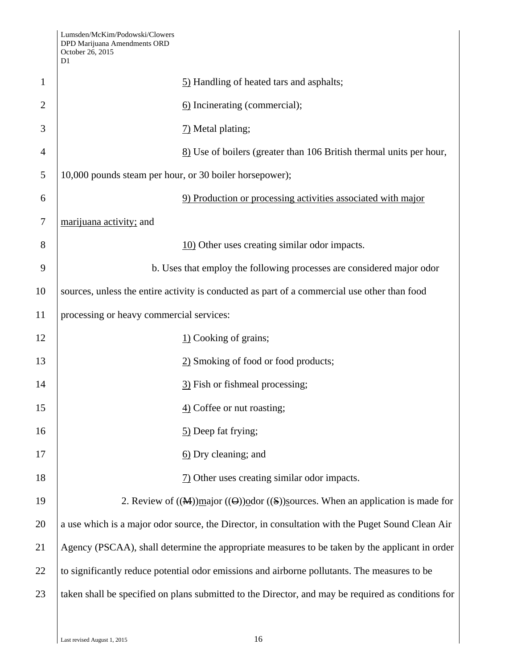|        | Lumsden/McKim/Podowski/Clowers<br>DPD Marijuana Amendments ORD<br>October 26, 2015<br>D1     |                                                                                                    |  |  |  |
|--------|----------------------------------------------------------------------------------------------|----------------------------------------------------------------------------------------------------|--|--|--|
| 1      |                                                                                              | 5) Handling of heated tars and asphalts;                                                           |  |  |  |
| 2      |                                                                                              | 6) Incinerating (commercial);                                                                      |  |  |  |
| 3      |                                                                                              | 7) Metal plating;                                                                                  |  |  |  |
| 4      |                                                                                              | 8) Use of boilers (greater than 106 British thermal units per hour,                                |  |  |  |
| 5      | 10,000 pounds steam per hour, or 30 boiler horsepower);                                      |                                                                                                    |  |  |  |
| 6      |                                                                                              | 9) Production or processing activities associated with major                                       |  |  |  |
| $\tau$ | marijuana activity; and                                                                      |                                                                                                    |  |  |  |
| 8      |                                                                                              | 10) Other uses creating similar odor impacts.                                                      |  |  |  |
| 9      |                                                                                              | b. Uses that employ the following processes are considered major odor                              |  |  |  |
| 10     | sources, unless the entire activity is conducted as part of a commercial use other than food |                                                                                                    |  |  |  |
| 11     | processing or heavy commercial services:                                                     |                                                                                                    |  |  |  |
| 12     |                                                                                              | $\underline{1}$ Cooking of grains;                                                                 |  |  |  |
| 13     |                                                                                              | 2) Smoking of food or food products;                                                               |  |  |  |
| 14     |                                                                                              | 3) Fish or fishmeal processing;                                                                    |  |  |  |
| 15     |                                                                                              | 4) Coffee or nut roasting;                                                                         |  |  |  |
| 16     |                                                                                              | 5) Deep fat frying;                                                                                |  |  |  |
| 17     |                                                                                              | 6) Dry cleaning; and                                                                               |  |  |  |
| 18     |                                                                                              | $\frac{7}{2}$ Other uses creating similar odor impacts.                                            |  |  |  |
| 19     |                                                                                              | 2. Review of $((M))$ major $((O))$ odor $((S))$ sources. When an application is made for           |  |  |  |
| 20     |                                                                                              | a use which is a major odor source, the Director, in consultation with the Puget Sound Clean Air   |  |  |  |
| 21     |                                                                                              | Agency (PSCAA), shall determine the appropriate measures to be taken by the applicant in order     |  |  |  |
| 22     |                                                                                              | to significantly reduce potential odor emissions and airborne pollutants. The measures to be       |  |  |  |
| 23     |                                                                                              | taken shall be specified on plans submitted to the Director, and may be required as conditions for |  |  |  |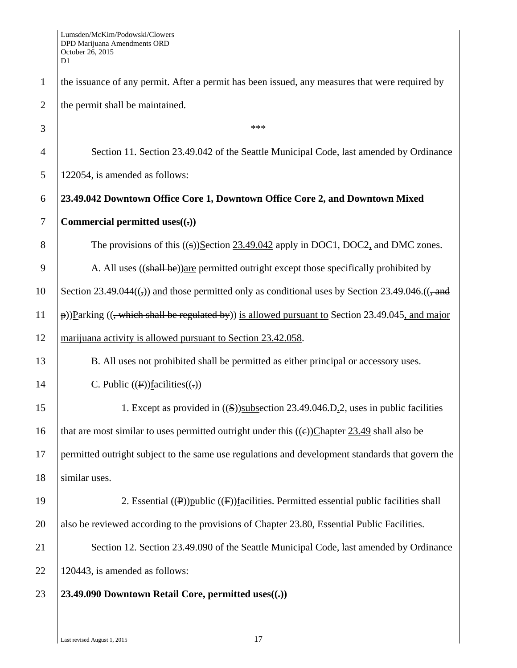| $\mathbf{1}$   | the issuance of any permit. After a permit has been issued, any measures that were required by                |
|----------------|---------------------------------------------------------------------------------------------------------------|
| $\overline{2}$ | the permit shall be maintained.                                                                               |
| 3              | ***                                                                                                           |
| 4              | Section 11. Section 23.49.042 of the Seattle Municipal Code, last amended by Ordinance                        |
| 5              | 122054, is amended as follows:                                                                                |
| 6              | 23.49.042 Downtown Office Core 1, Downtown Office Core 2, and Downtown Mixed                                  |
| $\tau$         | Commercial permitted uses $((.)$                                                                              |
| 8              | The provisions of this $((s))$ Section 23.49.042 apply in DOC1, DOC2, and DMC zones.                          |
| 9              | A. All uses ((shall be)) are permitted outright except those specifically prohibited by                       |
| 10             | Section 23.49.044 $((,))$ and those permitted only as conditional uses by Section 23.49.046 $((, \text{and})$ |
| 11             | $\phi$ ))Parking ((, which shall be regulated by)) is allowed pursuant to Section 23.49.045, and major        |
| 12             | marijuana activity is allowed pursuant to Section 23.42.058.                                                  |
| 13             | B. All uses not prohibited shall be permitted as either principal or accessory uses.                          |
| 14             | C. Public $(F)$ facilities $((.)$                                                                             |
| 15             | 1. Except as provided in $((S))$ subsection 23.49.046.D <sub>1</sub> .2, uses in public facilities            |
| 16             | that are most similar to uses permitted outright under this $((e))$ Chapter 23.49 shall also be               |
| 17             | permitted outright subject to the same use regulations and development standards that govern the              |
| 18             | similar uses.                                                                                                 |
| 19             | 2. Essential $(\mathbf{P})$ public $(\mathbf{F})$ facilities. Permitted essential public facilities shall     |
| 20             | also be reviewed according to the provisions of Chapter 23.80, Essential Public Facilities.                   |
| 21             | Section 12. Section 23.49.090 of the Seattle Municipal Code, last amended by Ordinance                        |
| 22             | 120443, is amended as follows:                                                                                |
| 23             | 23.49.090 Downtown Retail Core, permitted uses $((.)$                                                         |
|                |                                                                                                               |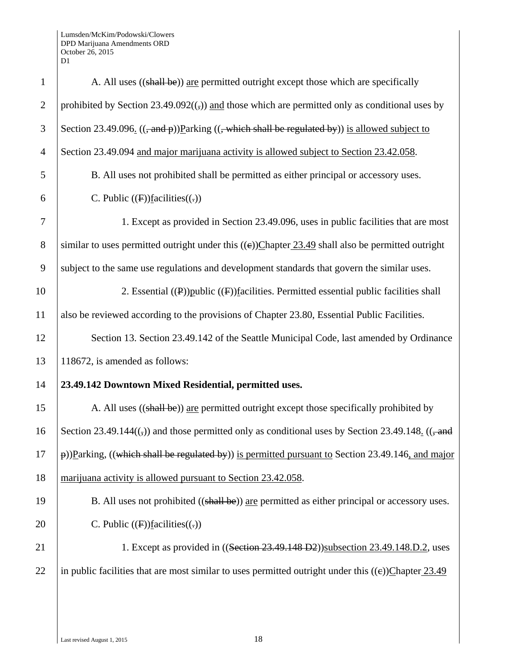| $\mathbf{1}$   | A. All uses ((shall be)) are permitted outright except those which are specifically                                     |
|----------------|-------------------------------------------------------------------------------------------------------------------------|
| $\overline{2}$ | prohibited by Section 23.49.092( $\left(\frac{1}{2}\right)$ ) and those which are permitted only as conditional uses by |
| 3              | Section 23.49.096. $((\text{and } p))$ Parking $((\text{which shall be regulated by}))$ is allowed subject to           |
| $\overline{4}$ | Section 23.49.094 and major marijuana activity is allowed subject to Section 23.42.058.                                 |
| 5              | B. All uses not prohibited shall be permitted as either principal or accessory uses.                                    |
| 6              | C. Public $(F)$ facilities $((.)$                                                                                       |
| 7              | 1. Except as provided in Section 23.49.096, uses in public facilities that are most                                     |
| $8\,$          | similar to uses permitted outright under this $((e))$ Chapter 23.49 shall also be permitted outright                    |
| 9              | subject to the same use regulations and development standards that govern the similar uses.                             |
| 10             | 2. Essential $((P))$ public $((F))$ facilities. Permitted essential public facilities shall                             |
| 11             | also be reviewed according to the provisions of Chapter 23.80, Essential Public Facilities.                             |
| 12             | Section 13. Section 23.49.142 of the Seattle Municipal Code, last amended by Ordinance                                  |
| 13             | 118672, is amended as follows:                                                                                          |
| 14             | 23.49.142 Downtown Mixed Residential, permitted uses.                                                                   |
| 15             | A. All uses ((shall be)) are permitted outright except those specifically prohibited by                                 |
| 16             | Section 23.49.144 $((,))$ and those permitted only as conditional uses by Section 23.49.148. $((, and)$                 |
| 17             | p))Parking, ((which shall be regulated by)) is permitted pursuant to Section 23.49.146, and major                       |
| 18             | marijuana activity is allowed pursuant to Section 23.42.058.                                                            |
| 19             | B. All uses not prohibited ((shall be)) are permitted as either principal or accessory uses.                            |
| 20             | C. Public $(F)$ facilities $((.)$                                                                                       |
| 21             | 1. Except as provided in ((Section 23.49.148 D2))subsection 23.49.148.D.2, uses                                         |
| 22             | in public facilities that are most similar to uses permitted outright under this $((e))$ Chapter 23.49                  |
|                |                                                                                                                         |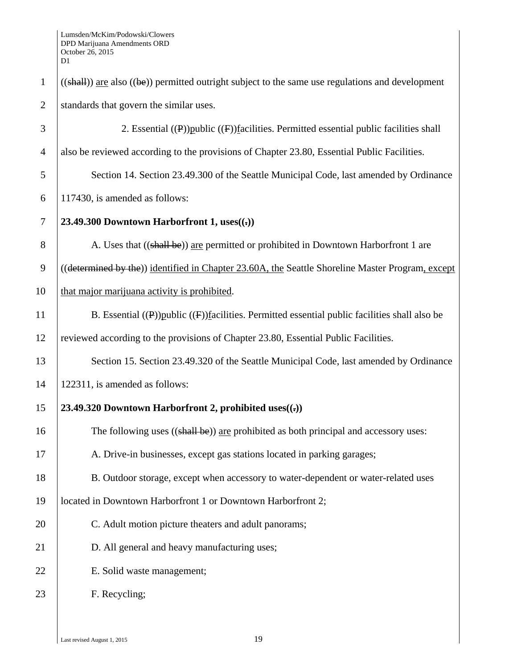| $\mathbf{1}$   | $((shall))$ are also $((be))$ permitted outright subject to the same use regulations and development |
|----------------|------------------------------------------------------------------------------------------------------|
| $\overline{2}$ | standards that govern the similar uses.                                                              |
| 3              | 2. Essential $((P))$ public $((F))$ facilities. Permitted essential public facilities shall          |
| $\overline{4}$ | also be reviewed according to the provisions of Chapter 23.80, Essential Public Facilities.          |
| 5              | Section 14. Section 23.49.300 of the Seattle Municipal Code, last amended by Ordinance               |
| 6              | 117430, is amended as follows:                                                                       |
| $\tau$         | 23.49.300 Downtown Harborfront 1, uses $((.)$                                                        |
| 8              | A. Uses that ((shall be)) are permitted or prohibited in Downtown Harborfront 1 are                  |
| 9              | ((determined by the)) identified in Chapter 23.60A, the Seattle Shoreline Master Program, except     |
| 10             | that major marijuana activity is prohibited.                                                         |
| 11             | B. Essential $((P))$ public $((F))$ facilities. Permitted essential public facilities shall also be  |
| 12             | reviewed according to the provisions of Chapter 23.80, Essential Public Facilities.                  |
| 13             | Section 15. Section 23.49.320 of the Seattle Municipal Code, last amended by Ordinance               |
| 14             | 122311, is amended as follows:                                                                       |
| 15             | 23.49.320 Downtown Harborfront 2, prohibited uses((x))                                               |
| 16             | The following uses $((\text{shall be}))$ are prohibited as both principal and accessory uses:        |
| 17             | A. Drive-in businesses, except gas stations located in parking garages;                              |
| 18             | B. Outdoor storage, except when accessory to water-dependent or water-related uses                   |
| 19             | located in Downtown Harborfront 1 or Downtown Harborfront 2;                                         |
| 20             | C. Adult motion picture theaters and adult panorams;                                                 |
| 21             | D. All general and heavy manufacturing uses;                                                         |
| 22             | E. Solid waste management;                                                                           |
| 23             | F. Recycling;                                                                                        |
|                |                                                                                                      |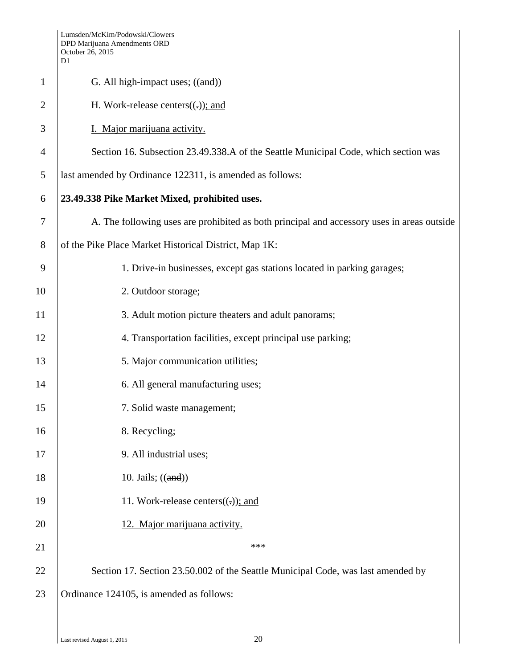|                | D1                                                                                         |  |  |  |  |  |  |
|----------------|--------------------------------------------------------------------------------------------|--|--|--|--|--|--|
| $\mathbf{1}$   | G. All high-impact uses; $((and))$                                                         |  |  |  |  |  |  |
| $\overline{2}$ | H. Work-release centers $((.)$ ; and                                                       |  |  |  |  |  |  |
| 3              | I. Major marijuana activity.                                                               |  |  |  |  |  |  |
| 4              | Section 16. Subsection 23.49.338.A of the Seattle Municipal Code, which section was        |  |  |  |  |  |  |
| 5              | last amended by Ordinance 122311, is amended as follows:                                   |  |  |  |  |  |  |
| 6              | 23.49.338 Pike Market Mixed, prohibited uses.                                              |  |  |  |  |  |  |
| 7              | A. The following uses are prohibited as both principal and accessory uses in areas outside |  |  |  |  |  |  |
| 8              | of the Pike Place Market Historical District, Map 1K:                                      |  |  |  |  |  |  |
| 9              | 1. Drive-in businesses, except gas stations located in parking garages;                    |  |  |  |  |  |  |
| 10             | 2. Outdoor storage;                                                                        |  |  |  |  |  |  |
| 11             | 3. Adult motion picture theaters and adult panorams;                                       |  |  |  |  |  |  |
| 12             | 4. Transportation facilities, except principal use parking;                                |  |  |  |  |  |  |
| 13             | 5. Major communication utilities;                                                          |  |  |  |  |  |  |
| 14             | 6. All general manufacturing uses;                                                         |  |  |  |  |  |  |
| 15             | 7. Solid waste management;                                                                 |  |  |  |  |  |  |
| 16             | 8. Recycling;                                                                              |  |  |  |  |  |  |
| 17             | 9. All industrial uses;                                                                    |  |  |  |  |  |  |
| 18             | 10. Jails; $((and))$                                                                       |  |  |  |  |  |  |
| 19             | 11. Work-release centers $((.)$ ; and                                                      |  |  |  |  |  |  |
| 20             | 12. Major marijuana activity.                                                              |  |  |  |  |  |  |
| 21             | ***                                                                                        |  |  |  |  |  |  |
| 22             | Section 17. Section 23.50.002 of the Seattle Municipal Code, was last amended by           |  |  |  |  |  |  |
| 23             | Ordinance 124105, is amended as follows:                                                   |  |  |  |  |  |  |
|                |                                                                                            |  |  |  |  |  |  |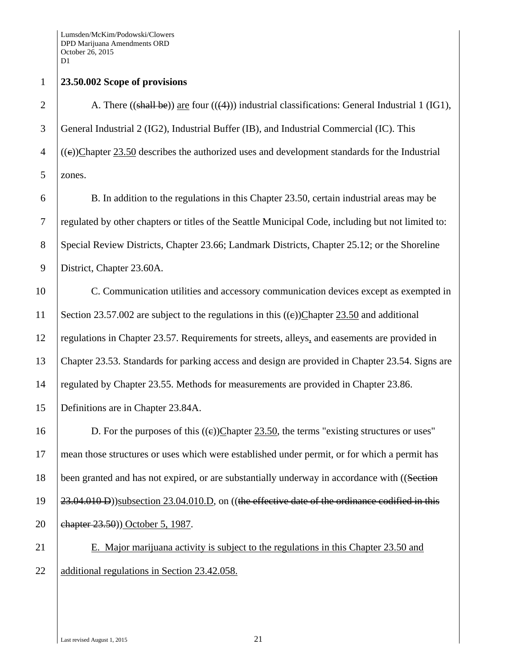## 1 **23.50.002 Scope of provisions**

2 A. There  $((shall be))$  are four  $((4))$  industrial classifications: General Industrial 1 (IG1), 3 General Industrial 2 (IG2), Industrial Buffer (IB), and Industrial Commercial (IC). This  $4 \mid ((e))$ Chapter 23.50 describes the authorized uses and development standards for the Industrial 5 zones.

6 B. In addition to the regulations in this Chapter 23.50, certain industrial areas may be 7 regulated by other chapters or titles of the Seattle Municipal Code, including but not limited to: 8 Special Review Districts, Chapter 23.66; Landmark Districts, Chapter 25.12; or the Shoreline 9 District, Chapter 23.60A.

10 C. Communication utilities and accessory communication devices except as exempted in 11 Section 23.57.002 are subject to the regulations in this  $((e))$ Chapter 23.50 and additional 12 regulations in Chapter 23.57. Requirements for streets, alleys, and easements are provided in 13 Chapter 23.53. Standards for parking access and design are provided in Chapter 23.54. Signs are 14 | regulated by Chapter 23.55. Methods for measurements are provided in Chapter 23.86. 15 Definitions are in Chapter 23.84A.

16 D. For the purposes of this  $((e))$ Chapter 23.50, the terms "existing structures or uses" 17 mean those structures or uses which were established under permit, or for which a permit has 18 been granted and has not expired, or are substantially underway in accordance with ((Section 19 23.04.010 D))subsection 23.04.010.D, on ((the effective date of the ordinance codified in this 20 **chapter 23.50**)) October 5, 1987.

21 E. Major marijuana activity is subject to the regulations in this Chapter 23.50 and 22 additional regulations in Section 23.42.058.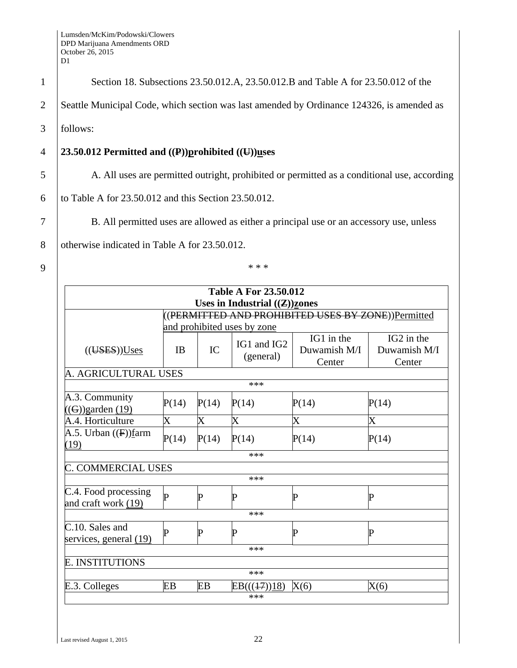| $\mathbf{1}$   | Section 18. Subsections 23.50.012.A, 23.50.012.B and Table A for 23.50.012 of the           |  |  |  |  |
|----------------|---------------------------------------------------------------------------------------------|--|--|--|--|
| $\overline{2}$ | Seattle Municipal Code, which section was last amended by Ordinance 124326, is amended as   |  |  |  |  |
| 3              | follows:                                                                                    |  |  |  |  |
| 4              | 23.50.012 Permitted and $((P))$ prohibited $((U))$ uses                                     |  |  |  |  |
| 5              | A. All uses are permitted outright, prohibited or permitted as a conditional use, according |  |  |  |  |
| 6              | to Table A for 23.50.012 and this Section 23.50.012.                                        |  |  |  |  |
| 7              | B. All permitted uses are allowed as either a principal use or an accessory use, unless     |  |  |  |  |
| 8              | otherwise indicated in Table A for 23.50.012.                                               |  |  |  |  |
| 9              | * * *                                                                                       |  |  |  |  |
|                | <b>Table A For 23.50.012</b>                                                                |  |  |  |  |
|                | Uses in Industrial $(\mathbf{Z})$ zones                                                     |  |  |  |  |
|                | <b>ED AND PROHIBITED USES BY ZONE))Permitted</b>                                            |  |  |  |  |

|                                             |           |       | Uses in Industrial $((\mathbf{Z}))$ zones |                                                    |                                      |
|---------------------------------------------|-----------|-------|-------------------------------------------|----------------------------------------------------|--------------------------------------|
|                                             |           |       |                                           | ((PERMITTED AND PROHIBITED USES BY ZONE))Permitted |                                      |
|                                             |           |       | and prohibited uses by zone               |                                                    |                                      |
| (( <b>UES</b> )) <b>U</b> ses               | <b>IB</b> | IC    | IG1 and IG2<br>(general)                  | IG1 in the<br>Duwamish M/I<br>Center               | IG2 in the<br>Duwamish M/I<br>Center |
| A. AGRICULTURAL USES                        |           |       |                                           |                                                    |                                      |
|                                             |           |       | ***                                       |                                                    |                                      |
| A.3. Community<br>$((G))$ garden $(19)$     | P(14)     | P(14) | P(14)                                     | P(14)                                              | P(14)                                |
| A.4. Horticulture                           | X         | X     | $\rm X$                                   | X                                                  | $\rm X$                              |
| A.5. Urban $((F))$ farm<br>(19)             | P(14)     | P(14) | P(14)                                     | P(14)                                              | P(14)                                |
|                                             |           |       | ***                                       |                                                    |                                      |
| <b>C. COMMERCIAL USES</b>                   |           |       |                                           |                                                    |                                      |
|                                             |           |       | ***                                       |                                                    |                                      |
| C.4. Food processing<br>and craft work (19) | P         | P     | P                                         | P                                                  | P                                    |
|                                             |           |       | ***                                       |                                                    |                                      |
| C.10. Sales and<br>services, general (19)   | P         | P     | P                                         | P                                                  | P                                    |
|                                             |           |       | ***                                       |                                                    |                                      |
| <b>E. INSTITUTIONS</b>                      |           |       |                                           |                                                    |                                      |
|                                             |           |       | ***                                       |                                                    |                                      |
| E.3. Colleges                               | EB        | EB    | EB(((17))18)<br>***                       | X(6)                                               | X(6)                                 |
|                                             |           |       |                                           |                                                    |                                      |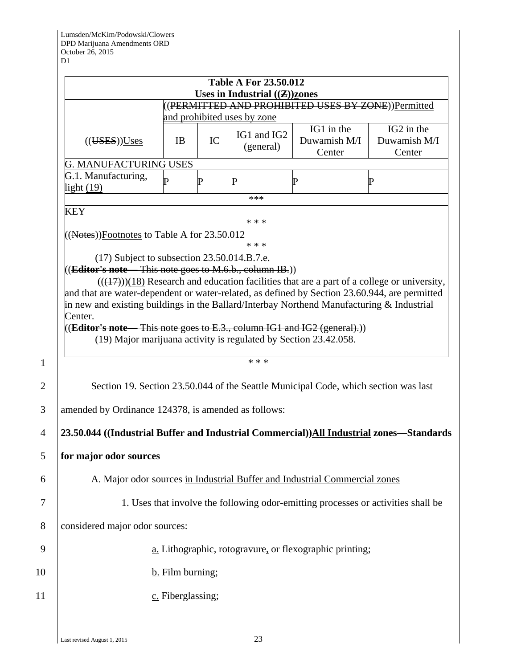|                                                                                                 |                                                                                                                                                                                                                                                                                                                                                                                                                                                                                                                                                                                                                         |                                 |    | <b>Table A For 23.50.012</b> |                                                                                     |                                                                                              |  |  |  |  |
|-------------------------------------------------------------------------------------------------|-------------------------------------------------------------------------------------------------------------------------------------------------------------------------------------------------------------------------------------------------------------------------------------------------------------------------------------------------------------------------------------------------------------------------------------------------------------------------------------------------------------------------------------------------------------------------------------------------------------------------|---------------------------------|----|------------------------------|-------------------------------------------------------------------------------------|----------------------------------------------------------------------------------------------|--|--|--|--|
| Uses in Industrial $((\mathbf{Z}))$ zones<br>((PERMITTED AND PROHIBITED USES BY ZONE))Permitted |                                                                                                                                                                                                                                                                                                                                                                                                                                                                                                                                                                                                                         |                                 |    |                              |                                                                                     |                                                                                              |  |  |  |  |
|                                                                                                 |                                                                                                                                                                                                                                                                                                                                                                                                                                                                                                                                                                                                                         | and prohibited uses by zone     |    |                              |                                                                                     |                                                                                              |  |  |  |  |
|                                                                                                 | (( <b>UES</b> )) <b>U</b> ses)                                                                                                                                                                                                                                                                                                                                                                                                                                                                                                                                                                                          | <b>IB</b>                       | IC | IG1 and IG2<br>(general)     | IG1 in the<br>Duwamish M/I<br>Center                                                | IG2 in the<br>Duwamish M/I<br>Center                                                         |  |  |  |  |
|                                                                                                 | <b>G. MANUFACTURING USES</b>                                                                                                                                                                                                                                                                                                                                                                                                                                                                                                                                                                                            |                                 |    |                              |                                                                                     |                                                                                              |  |  |  |  |
|                                                                                                 | G.1. Manufacturing,<br>light $(19)$                                                                                                                                                                                                                                                                                                                                                                                                                                                                                                                                                                                     | D                               | P  | P                            | P                                                                                   | $\mathbf P$                                                                                  |  |  |  |  |
|                                                                                                 | <b>KEY</b>                                                                                                                                                                                                                                                                                                                                                                                                                                                                                                                                                                                                              |                                 |    | ***                          |                                                                                     |                                                                                              |  |  |  |  |
|                                                                                                 | $(17)$ Subject to subsection 23.50.014.B.7.e.<br>(Editor's note This note goes to M.6.b., column IB.))<br>and that are water-dependent or water-related, as defined by Section 23.60.944, are permitted<br>in new and existing buildings in the Ballard/Interbay Northend Manufacturing $\&$ Industrial<br>Center.<br>$((Editor's note - This note goes to E.3., column IG1 and IG2 (general).))$<br>(19) Major marijuana activity is regulated by Section 23.42.058.<br>amended by Ordinance 124378, is amended as follows:<br>23.50.044 ((Industrial Buffer and Industrial Commercial))All Industrial zones—Standards |                                 |    | * * *<br>* * *               | Section 19. Section 23.50.044 of the Seattle Municipal Code, which section was last | $(((17)))(18)$ Research and education facilities that are a part of a college or university, |  |  |  |  |
|                                                                                                 | for major odor sources                                                                                                                                                                                                                                                                                                                                                                                                                                                                                                                                                                                                  |                                 |    |                              |                                                                                     |                                                                                              |  |  |  |  |
| A. Major odor sources in Industrial Buffer and Industrial Commercial zones                      |                                                                                                                                                                                                                                                                                                                                                                                                                                                                                                                                                                                                                         |                                 |    |                              |                                                                                     |                                                                                              |  |  |  |  |
|                                                                                                 |                                                                                                                                                                                                                                                                                                                                                                                                                                                                                                                                                                                                                         |                                 |    |                              |                                                                                     | 1. Uses that involve the following odor-emitting processes or activities shall be            |  |  |  |  |
| considered major odor sources:                                                                  |                                                                                                                                                                                                                                                                                                                                                                                                                                                                                                                                                                                                                         |                                 |    |                              |                                                                                     |                                                                                              |  |  |  |  |
|                                                                                                 |                                                                                                                                                                                                                                                                                                                                                                                                                                                                                                                                                                                                                         |                                 |    |                              | a. Lithographic, rotogravure, or flexographic printing;                             |                                                                                              |  |  |  |  |
|                                                                                                 |                                                                                                                                                                                                                                                                                                                                                                                                                                                                                                                                                                                                                         |                                 |    |                              |                                                                                     |                                                                                              |  |  |  |  |
|                                                                                                 |                                                                                                                                                                                                                                                                                                                                                                                                                                                                                                                                                                                                                         | $\underline{b}$ . Film burning; |    |                              |                                                                                     |                                                                                              |  |  |  |  |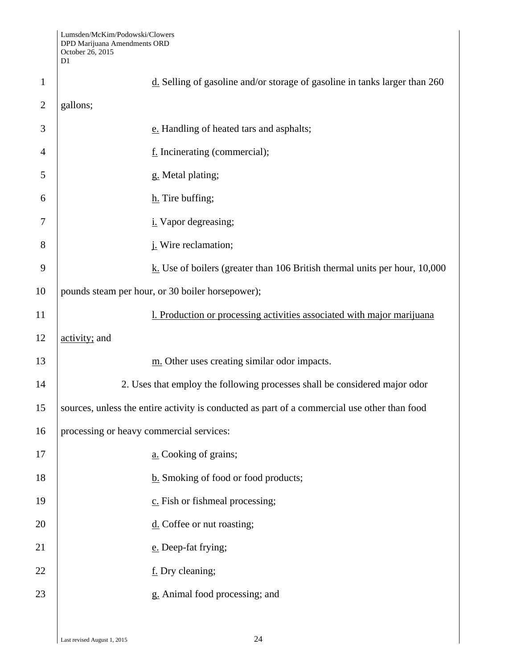|                | Lumsden/McKim/Podowski/Clowers<br>DPD Marijuana Amendments ORD<br>October 26, 2015<br>D1     |  |  |  |  |  |
|----------------|----------------------------------------------------------------------------------------------|--|--|--|--|--|
| $\mathbf{1}$   | $d$ . Selling of gasoline and/or storage of gasoline in tanks larger than 260                |  |  |  |  |  |
| $\overline{2}$ | gallons;                                                                                     |  |  |  |  |  |
| 3              | e. Handling of heated tars and asphalts;                                                     |  |  |  |  |  |
| $\overline{4}$ | f. Incinerating (commercial);                                                                |  |  |  |  |  |
| 5              | g. Metal plating;                                                                            |  |  |  |  |  |
| 6              | h. Tire buffing;                                                                             |  |  |  |  |  |
| 7              | <i>i</i> . Vapor degreasing;                                                                 |  |  |  |  |  |
| 8              | j. Wire reclamation;                                                                         |  |  |  |  |  |
| 9              | $\underline{k}$ . Use of boilers (greater than 106 British thermal units per hour, 10,000    |  |  |  |  |  |
| 10             | pounds steam per hour, or 30 boiler horsepower);                                             |  |  |  |  |  |
| 11             | 1. Production or processing activities associated with major marijuana                       |  |  |  |  |  |
| 12             | activity; and                                                                                |  |  |  |  |  |
| 13             | m. Other uses creating similar odor impacts.                                                 |  |  |  |  |  |
| 14             | 2. Uses that employ the following processes shall be considered major odor                   |  |  |  |  |  |
| 15             | sources, unless the entire activity is conducted as part of a commercial use other than food |  |  |  |  |  |
| 16             | processing or heavy commercial services:                                                     |  |  |  |  |  |
| 17             | a. Cooking of grains;                                                                        |  |  |  |  |  |
| 18             | b. Smoking of food or food products;                                                         |  |  |  |  |  |
| 19             | c. Fish or fishmeal processing;                                                              |  |  |  |  |  |
| 20             | $\underline{d}$ . Coffee or nut roasting;                                                    |  |  |  |  |  |
| 21             | e. Deep-fat frying;                                                                          |  |  |  |  |  |
| 22             | f. Dry cleaning;                                                                             |  |  |  |  |  |
| 23             | g. Animal food processing; and                                                               |  |  |  |  |  |
|                |                                                                                              |  |  |  |  |  |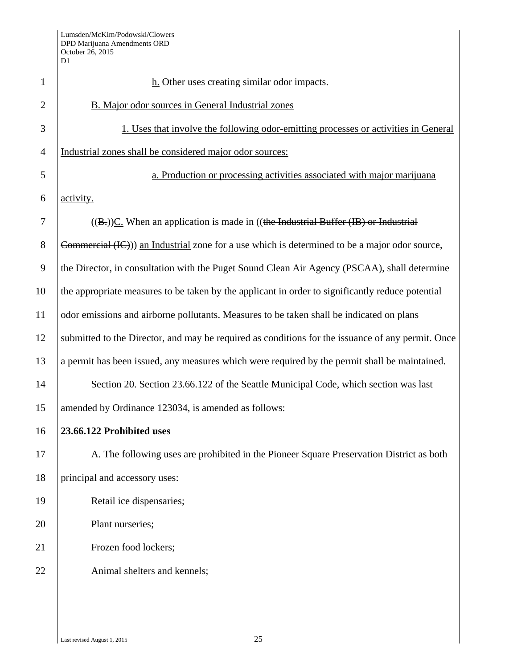| $\mathbf{1}$   | $h$ . Other uses creating similar odor impacts.                                                   |  |
|----------------|---------------------------------------------------------------------------------------------------|--|
| $\overline{2}$ | B. Major odor sources in General Industrial zones                                                 |  |
| 3              | 1. Uses that involve the following odor-emitting processes or activities in General               |  |
| $\overline{4}$ | Industrial zones shall be considered major odor sources:                                          |  |
| 5              | a. Production or processing activities associated with major marijuana                            |  |
| 6              | activity.                                                                                         |  |
| 7              | $((B))C$ . When an application is made in $((theIndustrial Buffer (IB) or Industrial)$            |  |
| 8              | Commercial (IC))) an Industrial zone for a use which is determined to be a major odor source,     |  |
| 9              | the Director, in consultation with the Puget Sound Clean Air Agency (PSCAA), shall determine      |  |
| 10             | the appropriate measures to be taken by the applicant in order to significantly reduce potential  |  |
| 11             | odor emissions and airborne pollutants. Measures to be taken shall be indicated on plans          |  |
| 12             | submitted to the Director, and may be required as conditions for the issuance of any permit. Once |  |
| 13             | a permit has been issued, any measures which were required by the permit shall be maintained.     |  |
| 14             | Section 20. Section 23.66.122 of the Seattle Municipal Code, which section was last               |  |
| 15             | amended by Ordinance 123034, is amended as follows:                                               |  |
| 16             | 23.66.122 Prohibited uses                                                                         |  |
| 17             | A. The following uses are prohibited in the Pioneer Square Preservation District as both          |  |
| 18             | principal and accessory uses:                                                                     |  |
| 19             | Retail ice dispensaries;                                                                          |  |
| 20             | Plant nurseries;                                                                                  |  |
| 21             | Frozen food lockers;                                                                              |  |
| 22             | Animal shelters and kennels;                                                                      |  |
|                |                                                                                                   |  |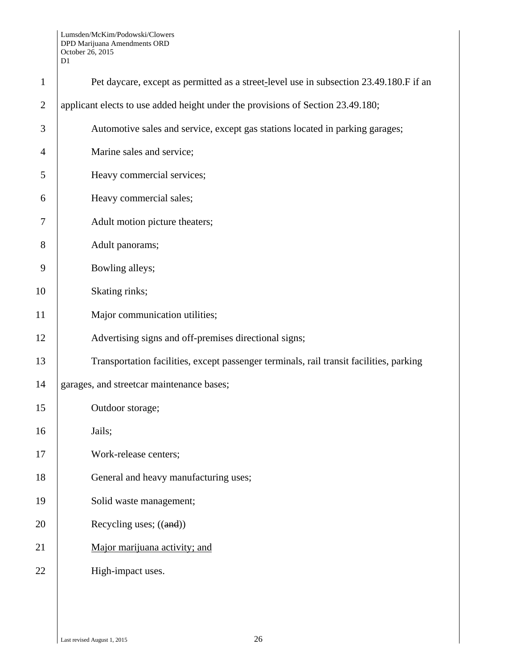| $\mathbf{1}$   | Pet daycare, except as permitted as a street-level use in subsection 23.49.180.F if an  |  |  |
|----------------|-----------------------------------------------------------------------------------------|--|--|
| $\overline{2}$ | applicant elects to use added height under the provisions of Section 23.49.180;         |  |  |
| 3              | Automotive sales and service, except gas stations located in parking garages;           |  |  |
| 4              | Marine sales and service;                                                               |  |  |
| 5              | Heavy commercial services;                                                              |  |  |
| 6              | Heavy commercial sales;                                                                 |  |  |
| 7              | Adult motion picture theaters;                                                          |  |  |
| 8              | Adult panorams;                                                                         |  |  |
| 9              | Bowling alleys;                                                                         |  |  |
| 10             | Skating rinks;                                                                          |  |  |
| 11             | Major communication utilities;                                                          |  |  |
| 12             | Advertising signs and off-premises directional signs;                                   |  |  |
| 13             | Transportation facilities, except passenger terminals, rail transit facilities, parking |  |  |
| 14             | garages, and streetcar maintenance bases;                                               |  |  |
| 15             | Outdoor storage;                                                                        |  |  |
| 16             | Jails;                                                                                  |  |  |
| 17             | Work-release centers;                                                                   |  |  |
| 18             | General and heavy manufacturing uses;                                                   |  |  |
| 19             | Solid waste management;                                                                 |  |  |
| 20             | Recycling uses; $((and))$                                                               |  |  |
| 21             | Major marijuana activity; and                                                           |  |  |
| 22             | High-impact uses.                                                                       |  |  |
|                |                                                                                         |  |  |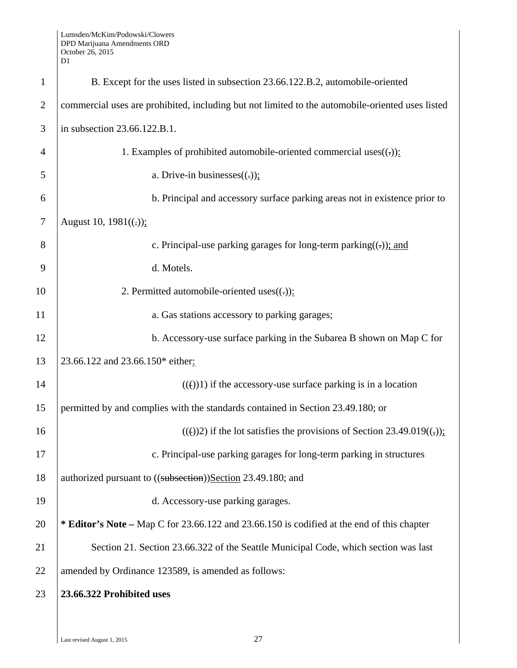| $\mathbf{1}$   | B. Except for the uses listed in subsection 23.66.122.B.2, automobile-oriented                   |  |
|----------------|--------------------------------------------------------------------------------------------------|--|
| $\overline{2}$ | commercial uses are prohibited, including but not limited to the automobile-oriented uses listed |  |
| 3              | in subsection 23.66.122.B.1.                                                                     |  |
| $\overline{4}$ | 1. Examples of prohibited automobile-oriented commercial uses $((.)$ :                           |  |
| 5              | a. Drive-in businesses $((.)$ :                                                                  |  |
| 6              | b. Principal and accessory surface parking areas not in existence prior to                       |  |
| $\tau$         | August 10, $1981((.));$                                                                          |  |
| 8              | c. Principal-use parking garages for long-term parking( $\left(\frac{1}{2}\right)$ ); and        |  |
| 9              | d. Motels.                                                                                       |  |
| 10             | 2. Permitted automobile-oriented uses $((.)$ :                                                   |  |
| 11             | a. Gas stations accessory to parking garages;                                                    |  |
| 12             | b. Accessory-use surface parking in the Subarea B shown on Map C for                             |  |
| 13             | 23.66.122 and 23.66.150* either:                                                                 |  |
| 14             | $(())$ if the accessory-use surface parking is in a location                                     |  |
| 15             | permitted by and complies with the standards contained in Section 23.49.180; or                  |  |
| 16             | $(())$ 2) if the lot satisfies the provisions of Section 23.49.019 $((,))$ ;                     |  |
| 17             | c. Principal-use parking garages for long-term parking in structures                             |  |
| 18             | authorized pursuant to ((subsection))Section 23.49.180; and                                      |  |
| 19             | d. Accessory-use parking garages.                                                                |  |
| 20             | * Editor's Note – Map C for 23.66.122 and 23.66.150 is codified at the end of this chapter       |  |
| 21             | Section 21. Section 23.66.322 of the Seattle Municipal Code, which section was last              |  |
| 22             | amended by Ordinance 123589, is amended as follows:                                              |  |
| 23             | 23.66.322 Prohibited uses                                                                        |  |
|                |                                                                                                  |  |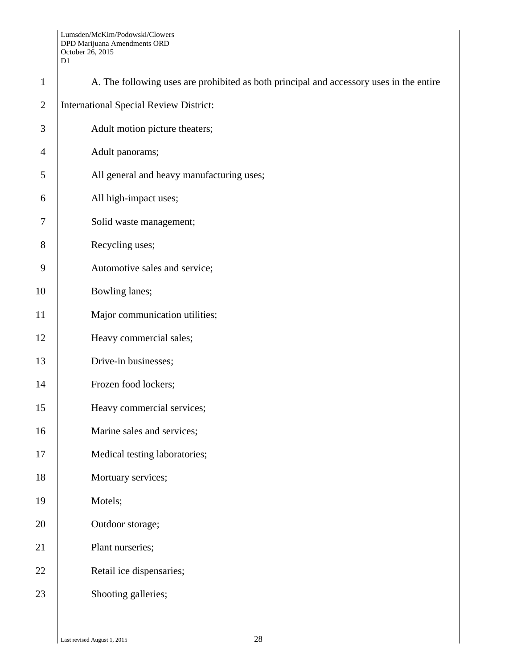| $\mathbf{1}$   | A. The following uses are prohibited as both principal and accessory uses in the entire |  |  |  |
|----------------|-----------------------------------------------------------------------------------------|--|--|--|
| $\overline{2}$ | <b>International Special Review District:</b>                                           |  |  |  |
| 3              | Adult motion picture theaters;                                                          |  |  |  |
| $\overline{4}$ | Adult panorams;                                                                         |  |  |  |
| 5              | All general and heavy manufacturing uses;                                               |  |  |  |
| 6              | All high-impact uses;                                                                   |  |  |  |
| 7              | Solid waste management;                                                                 |  |  |  |
| 8              | Recycling uses;                                                                         |  |  |  |
| 9              | Automotive sales and service;                                                           |  |  |  |
| 10             | Bowling lanes;                                                                          |  |  |  |
| 11             | Major communication utilities;                                                          |  |  |  |
| 12             | Heavy commercial sales;                                                                 |  |  |  |
| 13             | Drive-in businesses;                                                                    |  |  |  |
| 14             | Frozen food lockers;                                                                    |  |  |  |
| 15             | Heavy commercial services;                                                              |  |  |  |
| 16             | Marine sales and services;                                                              |  |  |  |
| 17             | Medical testing laboratories;                                                           |  |  |  |
| 18             | Mortuary services;                                                                      |  |  |  |
| 19             | Motels;                                                                                 |  |  |  |
| 20             | Outdoor storage;                                                                        |  |  |  |
| 21             | Plant nurseries;                                                                        |  |  |  |
| 22             | Retail ice dispensaries;                                                                |  |  |  |
| 23             | Shooting galleries;                                                                     |  |  |  |
|                |                                                                                         |  |  |  |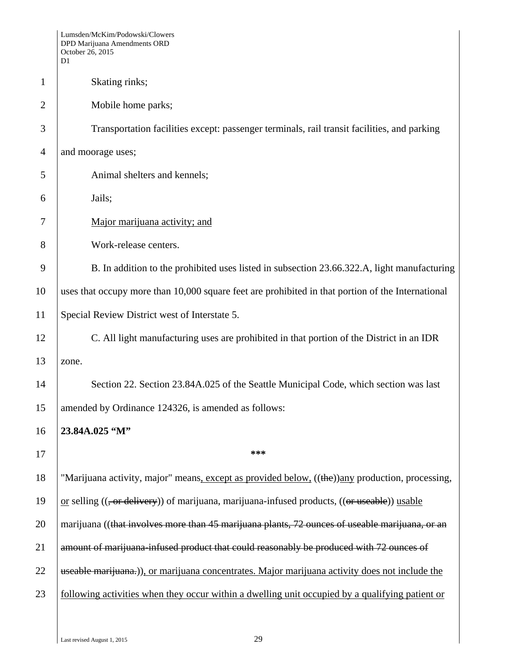|                | Lumsden/McKim/Podowski/Clowers<br>DPD Marijuana Amendments ORD<br>October 26, 2015<br>D1          |  |  |  |
|----------------|---------------------------------------------------------------------------------------------------|--|--|--|
| $\mathbf{1}$   | Skating rinks;                                                                                    |  |  |  |
| $\overline{2}$ | Mobile home parks;                                                                                |  |  |  |
| 3              | Transportation facilities except: passenger terminals, rail transit facilities, and parking       |  |  |  |
| $\overline{4}$ | and moorage uses;                                                                                 |  |  |  |
| 5              | Animal shelters and kennels;                                                                      |  |  |  |
| 6              | Jails;                                                                                            |  |  |  |
| 7              | Major marijuana activity; and                                                                     |  |  |  |
| 8              | Work-release centers.                                                                             |  |  |  |
| 9              | B. In addition to the prohibited uses listed in subsection 23.66.322.A, light manufacturing       |  |  |  |
| 10             | uses that occupy more than 10,000 square feet are prohibited in that portion of the International |  |  |  |
| 11             | Special Review District west of Interstate 5.                                                     |  |  |  |
| 12             | C. All light manufacturing uses are prohibited in that portion of the District in an IDR          |  |  |  |
| 13             | zone.                                                                                             |  |  |  |
| 14             | Section 22. Section 23.84A.025 of the Seattle Municipal Code, which section was last              |  |  |  |
| 15             | amended by Ordinance 124326, is amended as follows:                                               |  |  |  |
| 16             | 23.84A.025 "M"                                                                                    |  |  |  |
| 17             | ***                                                                                               |  |  |  |
| 18             | "Marijuana activity, major" means, except as provided below, ((the)) any production, processing,  |  |  |  |
| 19             | or selling $((, or$ delivery)) of marijuana, marijuana-infused products, $((or$ useable)) usable  |  |  |  |
| 20             | marijuana ((that involves more than 45 marijuana plants, 72 ounces of useable marijuana, or an    |  |  |  |
| 21             | amount of marijuana-infused product that could reasonably be produced with 72 ounces of           |  |  |  |
| 22             | useable marijuana.)), or marijuana concentrates. Major marijuana activity does not include the    |  |  |  |
| 23             | following activities when they occur within a dwelling unit occupied by a qualifying patient or   |  |  |  |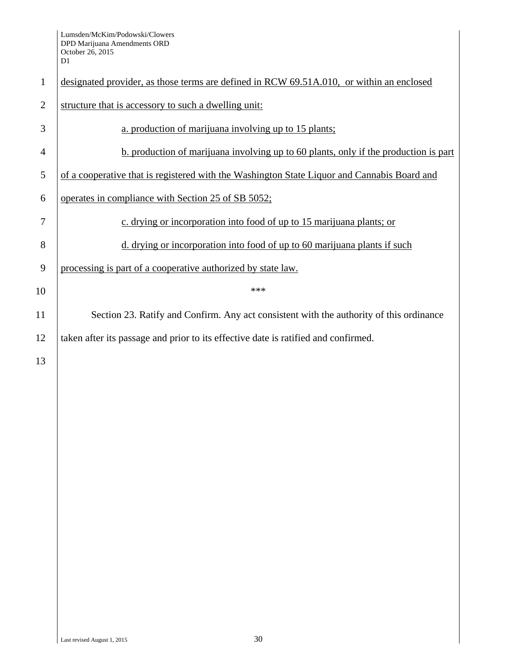|                | D1                                                                                          |  |  |  |  |
|----------------|---------------------------------------------------------------------------------------------|--|--|--|--|
| $\mathbf{1}$   | designated provider, as those terms are defined in RCW 69.51A.010, or within an enclosed    |  |  |  |  |
| $\overline{2}$ | structure that is accessory to such a dwelling unit:                                        |  |  |  |  |
| 3              | a. production of marijuana involving up to 15 plants;                                       |  |  |  |  |
| $\overline{4}$ | b. production of marijuana involving up to 60 plants, only if the production is part        |  |  |  |  |
| 5              | of a cooperative that is registered with the Washington State Liquor and Cannabis Board and |  |  |  |  |
| 6              | operates in compliance with Section 25 of SB 5052;                                          |  |  |  |  |
| 7              | c. drying or incorporation into food of up to 15 marijuana plants; or                       |  |  |  |  |
| 8              | d. drying or incorporation into food of up to 60 marijuana plants if such                   |  |  |  |  |
| 9              | processing is part of a cooperative authorized by state law.                                |  |  |  |  |
| 10             | ***                                                                                         |  |  |  |  |
| 11             | Section 23. Ratify and Confirm. Any act consistent with the authority of this ordinance     |  |  |  |  |
| 12             | taken after its passage and prior to its effective date is ratified and confirmed.          |  |  |  |  |
| 13             |                                                                                             |  |  |  |  |
|                |                                                                                             |  |  |  |  |
|                |                                                                                             |  |  |  |  |
|                |                                                                                             |  |  |  |  |
|                |                                                                                             |  |  |  |  |
|                |                                                                                             |  |  |  |  |
|                |                                                                                             |  |  |  |  |
|                |                                                                                             |  |  |  |  |
|                |                                                                                             |  |  |  |  |
|                |                                                                                             |  |  |  |  |